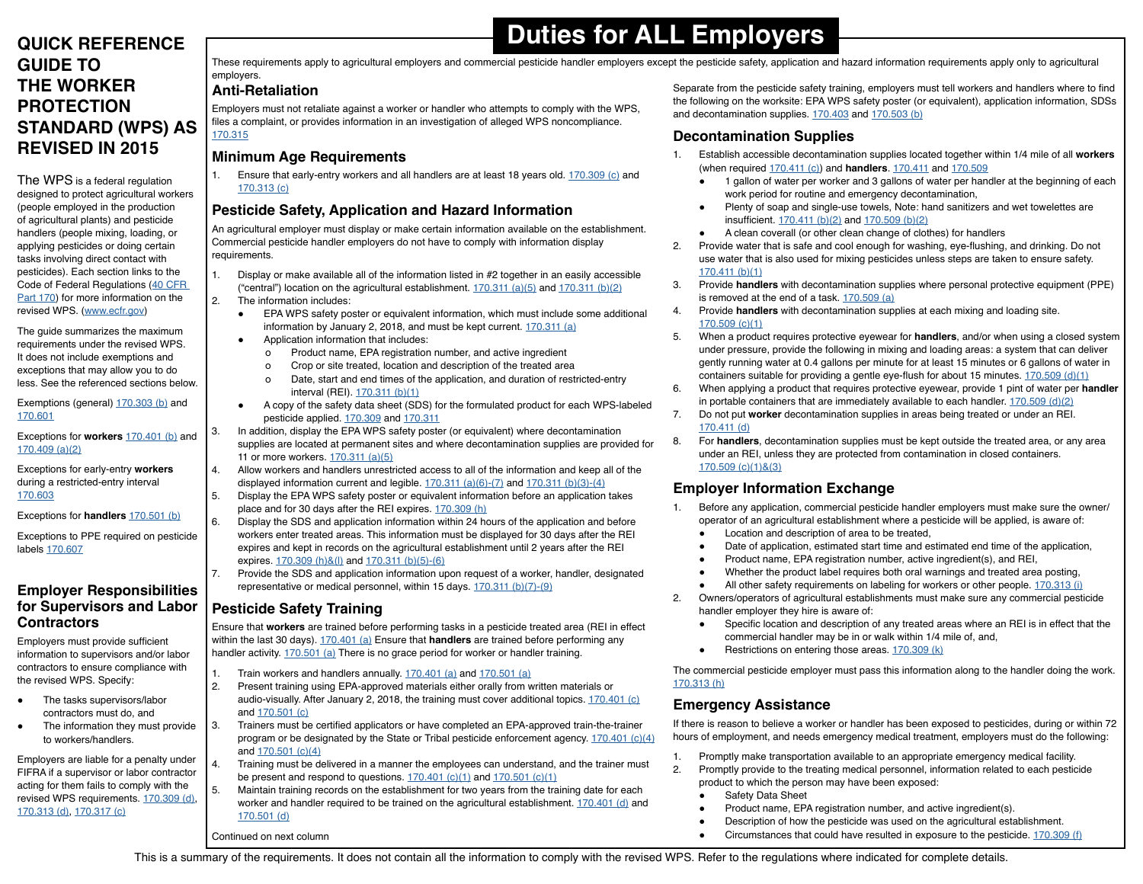# **QUICK REFERENCE GUIDE TO THE WORKER PROTECTION STANDARD (WPS) AS REVISED IN 2015**

The WPS is a federal regulation designed to protect agricultural workers (people employed in the production of agricultural plants) and pesticide handlers (people mixing, loading, or applying pesticides or doing certain tasks involving direct contact with pesticides). Each section links to the Code of Federal Regulations [\(40 CFR](http://www.ecfr.gov/cgi-bin/text-idx?mc=true&node=pt40.24.170)  [Part 170](http://www.ecfr.gov/cgi-bin/text-idx?mc=true&node=pt40.24.170)) for more information on the revised WPS. ([www.ecfr.gov\)](http://www.ecfr.gov)

The guide summarizes the maximum requirements under the revised WPS. It does not include exemptions and exceptions that may allow you to do less. See the referenced sections below.

Exemptions (general) [170.303 \(b\)](http://www.ecfr.gov/cgi-bin/text-idx?mc=true&node=pt40.24.170&rgn=div5#se40.26.170_1303) and [170.601](http://www.ecfr.gov/cgi-bin/text-idx?mc=true&node=pt40.24.170&rgn=div5#se40.26.170_1601)

Exceptions for **workers** [170.401 \(b\)](http://www.ecfr.gov/cgi-bin/text-idx?mc=true&node=pt40.24.170&rgn=div5#se40.26.170_1401) and [170.409 \(a\)\(2\)](http://www.ecfr.gov/cgi-bin/text-idx?mc=true&node=pt40.24.170&rgn=div5#se40.26.170_1409)

Exceptions for early-entry **workers** during a restricted-entry interval [170.603](http://www.ecfr.gov/cgi-bin/text-idx?mc=true&node=pt40.24.170&rgn=div5#se40.26.170_1603)

Exceptions for **handlers** [170.501 \(b\)](http://www.ecfr.gov/cgi-bin/text-idx?mc=true&node=pt40.24.170&rgn=div5#se40.26.170_1501)

Exceptions to PPE required on pesticide labels [170.607](http://www.ecfr.gov/cgi-bin/text-idx?mc=true&node=pt40.24.170&rgn=div5#se40.26.170_1607)

#### **Employer Responsibilities for Supervisors and Labor Contractors**

Employers must provide sufficient information to supervisors and/or labor contractors to ensure compliance with the revised WPS. Specify:

- The tasks supervisors/labor contractors must do, and
- The information they must provide to workers/handlers.

Employers are liable for a penalty under FIFRA if a supervisor or labor contractor acting for them fails to comply with the revised WPS requirements. [170.309 \(d\)](http://www.ecfr.gov/cgi-bin/text-idx?mc=true&node=pt40.24.170&rgn=div5#se40.26.170_1309), [170.313 \(d\)](http://www.ecfr.gov/cgi-bin/text-idx?mc=true&node=pt40.24.170&rgn=div5#se40.26.170_1313), [170.317 \(c\)](http://www.ecfr.gov/cgi-bin/text-idx?mc=true&node=pt40.24.170&rgn=div5#se40.26.170_1317)

# **Duties for ALL Employers**

These requirements apply to agricultural employers and commercial pesticide handler employers except the pesticide safety, application and hazard information requirements apply only to agricultural employers.

### **Anti-Retaliation**

Employers must not retaliate against a worker or handler who attempts to comply with the WPS, files a complaint, or provides information in an investigation of alleged WPS noncompliance. [170.315](http://www.ecfr.gov/cgi-bin/text-idx?mc=true&node=pt40.24.170&rgn=div5#se40.26.170_1315)

# **Minimum Age Requirements**

1. Ensure that early-entry workers and all handlers are at least 18 years old. [170.309 \(c\)](http://www.ecfr.gov/cgi-bin/text-idx?mc=true&node=pt40.24.170&rgn=div5#se40.26.170_1309) and [170.313 \(c\)](http://www.ecfr.gov/cgi-bin/text-idx?mc=true&node=pt40.24.170&rgn=div5#se40.26.170_1313)

# **Pesticide Safety, Application and Hazard Information**

An agricultural employer must display or make certain information available on the establishment. Commercial pesticide handler employers do not have to comply with information display requirements.

- 1. Display or make available all of the information listed in #2 together in an easily accessible ("central") location on the agricultural establishment.  $170.311$  (a)(5) and  $170.311$  (b)(2) 2. The information includes:
	- EPA WPS safety poster or equivalent information, which must include some additional information by January 2, 2018, and must be kept current. [170.311 \(a\)](http://www.ecfr.gov/cgi-bin/text-idx?mc=true&node=pt40.24.170&rgn=div5#se40.26.170_1311)
	- Application information that includes:
		- о Product name, EPA registration number, and active ingredient
		- о Crop or site treated, location and description of the treated area
		- о Date, start and end times of the application, and duration of restricted-entry interval (REI). [170.311 \(b\)\(1\)](http://www.ecfr.gov/cgi-bin/text-idx?mc=true&node=pt40.24.170&rgn=div5#se40.26.170_1311)
	- A copy of the safety data sheet (SDS) for the formulated product for each WPS-labeled pesticide applied. [170.309](http://www.ecfr.gov/cgi-bin/text-idx?mc=true&node=pt40.24.170&rgn=div5#se40.26.170_1309) and [170.311](http://www.ecfr.gov/cgi-bin/text-idx?mc=true&node=pt40.24.170&rgn=div5#se40.26.170_1311)
- 3. In addition, display the EPA WPS safety poster (or equivalent) where decontamination supplies are located at permanent sites and where decontamination supplies are provided for 11 or more workers. [170.311 \(a\)\(5\)](http://www.ecfr.gov/cgi-bin/text-idx?mc=true&node=pt40.24.170&rgn=div5#se40.26.170_1311)
- 4. Allow workers and handlers unrestricted access to all of the information and keep all of the displayed information current and legible.  $170.311$  (a)(6)-(7) and  $170.311$  (b)(3)-(4)
- 5. Display the EPA WPS safety poster or equivalent information before an application takes place and for 30 days after the REI expires. [170.309 \(h\)](http://www.ecfr.gov/cgi-bin/text-idx?mc=true&node=pt40.24.170&rgn=div5#se40.26.170_1309)
- 6. Display the SDS and application information within 24 hours of the application and before workers enter treated areas. This information must be displayed for 30 days after the REI expires and kept in records on the agricultural establishment until 2 years after the REI expires. [170.309 \(h\)&\(l\)](http://www.ecfr.gov/cgi-bin/text-idx?mc=true&node=pt40.24.170&rgn=div5#se40.26.170_1309) and [170.311 \(b\)\(5\)-\(6\)](http://www.ecfr.gov/cgi-bin/text-idx?mc=true&node=pt40.24.170&rgn=div5#se40.26.170_1311)
- 7. Provide the SDS and application information upon request of a worker, handler, designated representative or medical personnel, within 15 days. [170.311 \(b\)\(7\)-\(9\)](http://www.ecfr.gov/cgi-bin/text-idx?mc=true&node=pt40.24.170&rgn=div5#se40.26.170_1311)

# **Pesticide Safety Training**

Ensure that **workers** are trained before performing tasks in a pesticide treated area (REI in effect within the last 30 days). [170.401](http://www.ecfr.gov/cgi-bin/text-idx?mc=true&node=pt40.24.170&rgn=div5#se40.26.170_1401) (a) Ensure that **handlers** are trained before performing any handler activity. [170.501](http://www.ecfr.gov/cgi-bin/text-idx?mc=true&node=pt40.24.170&rgn=div5#se40.26.170_1501) (a) There is no grace period for worker or handler training.

- 1. Train workers and handlers annually.  $170.401$  (a) and  $170.501$  (a)<br>2. Present training using EPA-approved materials either orally from w
- 2. Present training using EPA-approved materials either orally from written materials or audio-visually. After January 2, 2018, the training must cover additional topics. [170.401 \(c\)](http://www.ecfr.gov/cgi-bin/text-idx?mc=true&node=pt40.24.170&rgn=div5#se40.26.170_1401) and [170.501 \(c\)](http://www.ecfr.gov/cgi-bin/text-idx?mc=true&node=pt40.24.170&rgn=div5#se40.26.170_1501)
- 3. Trainers must be certified applicators or have completed an EPA-approved train-the-trainer program or be designated by the State or Tribal pesticide enforcement agency. [170.401 \(c\)\(4\)](http://www.ecfr.gov/cgi-bin/text-idx?mc=true&node=pt40.24.170&rgn=div5#se40.26.170_1401) and [170.501 \(c\)\(4\)](http://www.ecfr.gov/cgi-bin/text-idx?mc=true&node=pt40.24.170&rgn=div5#se40.26.170_1501)
- 4. Training must be delivered in a manner the employees can understand, and the trainer must be present and respond to questions.  $170.401$  (c)(1) and  $170.501$  (c)(1)
- 5. Maintain training records on the establishment for two years from the training date for each worker and handler required to be trained on the agricultural establishment. [170.401 \(d\)](http://www.ecfr.gov/cgi-bin/text-idx?mc=true&node=pt40.24.170&rgn=div5#se40.26.170_1401) and [170.501 \(d\)](http://www.ecfr.gov/cgi-bin/text-idx?mc=true&node=pt40.24.170&rgn=div5#se40.26.170_1501)

Continued on next column

Separate from the pesticide safety training, employers must tell workers and handlers where to find the following on the worksite: EPA WPS safety poster (or equivalent), application information, SDSs and decontamination supplies. [170.403](http://www.ecfr.gov/cgi-bin/text-idx?mc=true&node=pt40.24.170&rgn=div5#se40.26.170_1403) and [170.503 \(b\)](http://www.ecfr.gov/cgi-bin/text-idx?mc=true&node=pt40.24.170&rgn=div5#se40.26.170_1503)

# **Decontamination Supplies**

- 1. Establish accessible decontamination supplies located together within 1/4 mile of all **workers** (when required [170.411 \(c\)\)](http://www.ecfr.gov/cgi-bin/text-idx?mc=true&node=pt40.24.170&rgn=div5#se40.26.170_1411) and **handlers**. [170.411](http://www.ecfr.gov/cgi-bin/text-idx?mc=true&node=pt40.24.170&rgn=div5#se40.26.170_1411) and [170.509](http://www.ecfr.gov/cgi-bin/text-idx?mc=true&node=pt40.24.170&rgn=div5#se40.26.170_1509)
	- 1 gallon of water per worker and 3 gallons of water per handler at the beginning of each work period for routine and emergency decontamination,
	- Plenty of soap and single-use towels, Note: hand sanitizers and wet towelettes are insufficient. [170.411 \(b\)\(2\)](http://www.ecfr.gov/cgi-bin/text-idx?mc=true&node=pt40.24.170&rgn=div5#se40.26.170_1411) and [170.509 \(b\)\(2\)](http://www.ecfr.gov/cgi-bin/text-idx?mc=true&node=pt40.24.170&rgn=div5#se40.26.170_1509)
	- A clean coverall (or other clean change of clothes) for handlers
- 2. Provide water that is safe and cool enough for washing, eye-flushing, and drinking. Do not use water that is also used for mixing pesticides unless steps are taken to ensure safety. [170.](http://www.ecfr.gov/cgi-bin/text-idx?mc=true&node=pt40.24.170&rgn=div5#se40.26.170_1411)411 (b)(1)
- 3. Provide **handlers** with decontamination supplies where personal protective equipment (PPE) is removed at the end of a task. [170.5](http://www.ecfr.gov/cgi-bin/text-idx?mc=true&node=pt40.24.170&rgn=div5#se40.26.170_1509)09 (a)
- 4. Provide **handlers** with decontamination supplies at each mixing and loading site. [170.509 \(c\)\(1\)](http://www.ecfr.gov/cgi-bin/text-idx?mc=true&node=pt40.24.170&rgn=div5#se40.26.170_1509)
- 5. When a product requires protective eyewear for **handlers**, and/or when using a closed system under pressure, provide the following in mixing and loading areas: a system that can deliver gently running water at 0.4 gallons per minute for at least 15 minutes or 6 gallons of water in containers suitable for providing a gentle eye-flush for about 15 minutes.  $170.509$  (d)(1)
- 6. When applying a product that requires protective eyewear, provide 1 pint of water per **handler** in portable containers that are immediately available to each handler.  $170.509$  (d)(2)
- 7. Do not put **worker** decontamination supplies in areas being treated or under an REI. [170.411 \(d\)](http://www.ecfr.gov/cgi-bin/text-idx?mc=true&node=pt40.24.170&rgn=div5#se40.26.170_1411)
- 8. For **handlers**, decontamination supplies must be kept outside the treated area, or any area under an REI, unless they are protected from contamination in closed containers. [170.509 \(c\)\(1\)&\(3\)](http://www.ecfr.gov/cgi-bin/text-idx?mc=true&node=pt40.24.170&rgn=div5#se40.26.170_1509)

# **Employer Information Exchange**

- 1. Before any application, commercial pesticide handler employers must make sure the owner/ operator of an agricultural establishment where a pesticide will be applied, is aware of:
	- Location and description of area to be treated,
	- Date of application, estimated start time and estimated end time of the application,
	- Product name, EPA registration number, active ingredient(s), and REI,
	- Whether the product label requires both oral warnings and treated area posting,
	- All other safety requirements on labeling for workers or other people. [170.313 \(i\)](http://www.ecfr.gov/cgi-bin/text-idx?mc=true&node=pt40.24.170&rgn=div5#se40.26.170_1313)
- 2. Owners/operators of agricultural establishments must make sure any commercial pesticide handler employer they hire is aware of:
	- Specific location and description of any treated areas where an REI is in effect that the commercial handler may be in or walk within 1/4 mile of, and,
	- Restrictions on entering those areas.  $170.309$  (k)

The commercial pesticide employer must pass this information along to the handler doing the work. [170.313 \(h\)](http://www.ecfr.gov/cgi-bin/text-idx?mc=true&node=pt40.24.170&rgn=div5#se40.26.170_1313)

# **Emergency Assistance**

If there is reason to believe a worker or handler has been exposed to pesticides, during or within 72 hours of employment, and needs emergency medical treatment, employers must do the following:

- 1. Promptly make transportation available to an appropriate emergency medical facility.<br>2. Promptly provide to the treating medical personnel, information related to each pestic
- 2. Promptly provide to the treating medical personnel, information related to each pesticide product to which the person may have been exposed:
	- Safety Data Sheet
	- Product name, EPA registration number, and active ingredient(s).
		- Description of how the pesticide was used on the agricultural establishment.
	- Circumstances that could have resulted in exposure to the pesticide. [170.309 \(f\)](http://www.ecfr.gov/cgi-bin/text-idx?mc=true&node=pt40.24.170&rgn=div5#se40.26.170_1309)

This is a summary of the requirements. It does not contain all the information to comply with the revised WPS. Refer to the regulations where indicated for complete details.